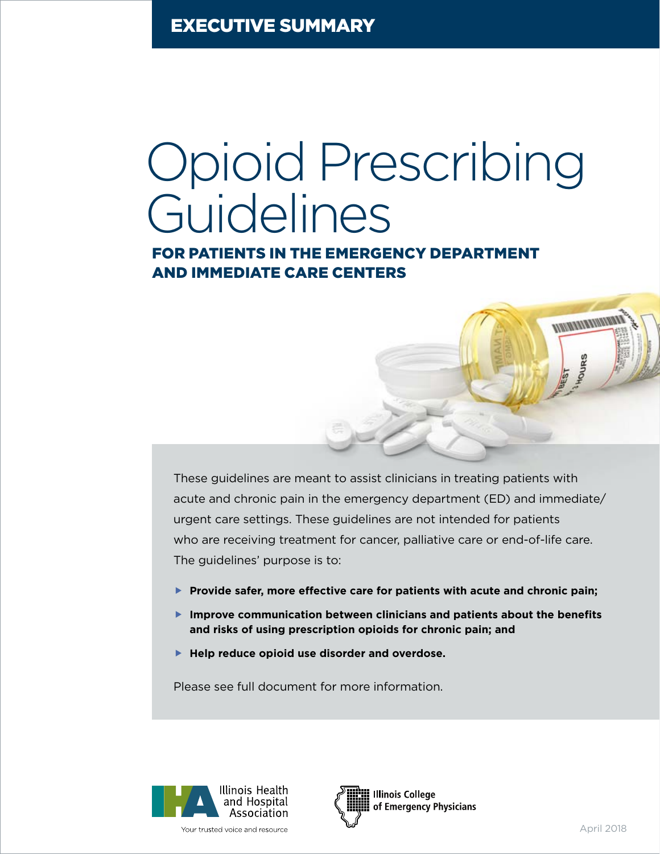Executive Summary

# Opioid Prescribing Guidelines

for Patients in the Emergency Department and Immediate Care Centers

These guidelines are meant to assist clinicians in treating patients with acute and chronic pain in the emergency department (ED) and immediate/ urgent care settings. These guidelines are not intended for patients who are receiving treatment for cancer, palliative care or end-of-life care. The guidelines' purpose is to:

- ▶ Provide safer, more effective care for patients with acute and chronic pain;
- **F** Improve communication between clinicians and patients about the benefits **and risks of using prescription opioids for chronic pain; and**
- **Fig. 2** Help reduce opioid use disorder and overdose.

Please see full document for more information.





**MARKET AND ALLENY**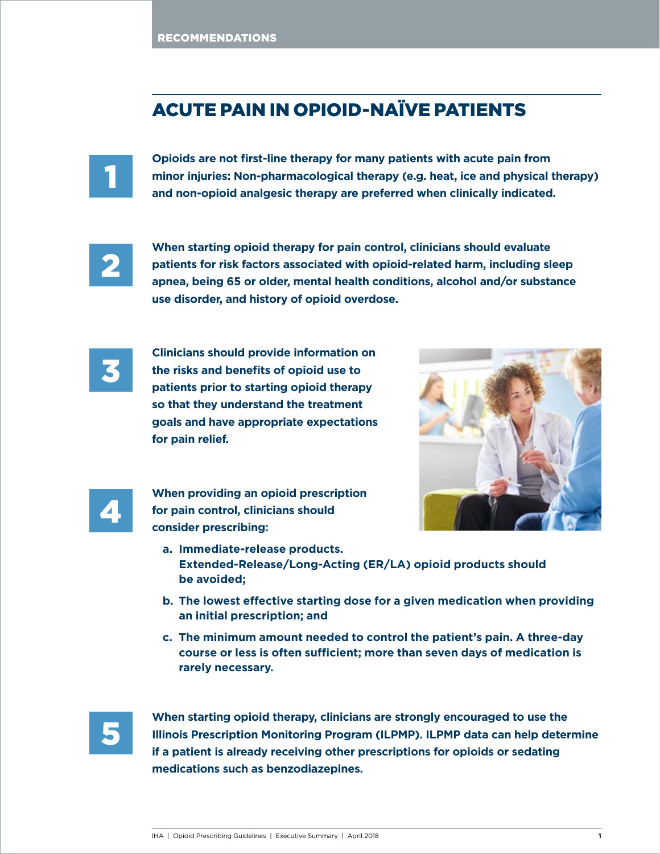# Acute Pain in Opioid-Naïve Patients



**Opioids are not first-line therapy for many patients with acute pain from minor injuries: Non-pharmacological therapy (e.g. heat, ice and physical therapy) and non-opioid analgesic therapy are preferred when clinically indicated.**



**When starting opioid therapy for pain control, clinicians should evaluate patients for risk factors associated with opioid-related harm, including sleep apnea, being 65 or older, mental health conditions, alcohol and/or substance use disorder, and history of opioid overdose.**



**Clinicians should provide information on the risks and benefits of opioid use to patients prior to starting opioid therapy so that they understand the treatment goals and have appropriate expectations for pain relief.**





**When providing an opioid prescription for pain control, clinicians should consider prescribing:**

- **a. Immediate-release products. Extended-Release/Long-Acting (ER/LA) opioid products should be avoided;**
- **b. The lowest effective starting dose for a given medication when providing an initial prescription; and**
- **c. The minimum amount needed to control the patient's pain. A three-day course or less is often sufficient; more than seven days of medication is rarely necessary.**



**When starting opioid therapy, clinicians are strongly encouraged to use the Illinois Prescription Monitoring Program (ILPMP). ILPMP data can help determine if a patient is already receiving other prescriptions for opioids or sedating medications such as benzodiazepines.**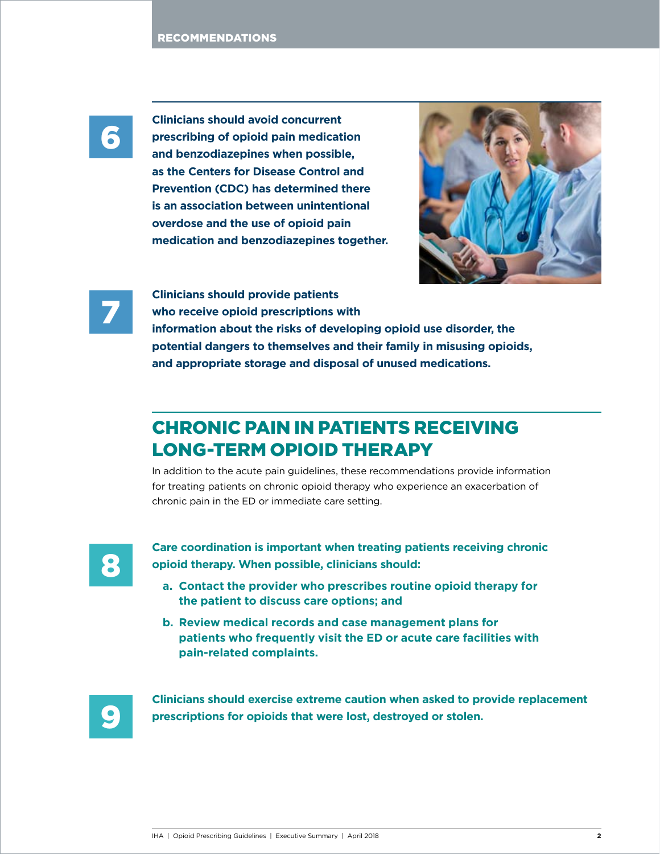

**Clinicians should avoid concurrent prescribing of opioid pain medication and benzodiazepines when possible, as the Centers for Disease Control and Prevention (CDC) has determined there is an association between unintentional overdose and the use of opioid pain medication and benzodiazepines together.** 





**Clinicians should provide patients** 

**who receive opioid prescriptions with** 

**information about the risks of developing opioid use disorder, the potential dangers to themselves and their family in misusing opioids, and appropriate storage and disposal of unused medications.**

# Chronic Pain in Patients Receiving Long-term Opioid THerapy

In addition to the acute pain guidelines, these recommendations provide information for treating patients on chronic opioid therapy who experience an exacerbation of chronic pain in the ED or immediate care setting.



**Care coordination is important when treating patients receiving chronic opioid therapy. When possible, clinicians should:**

- **a. Contact the provider who prescribes routine opioid therapy for the patient to discuss care options; and**
- **b. Review medical records and case management plans for patients who frequently visit the ED or acute care facilities with pain-related complaints.**



**Clinicians should exercise extreme caution when asked to provide replacement prescriptions for opioids that were lost, destroyed or stolen.**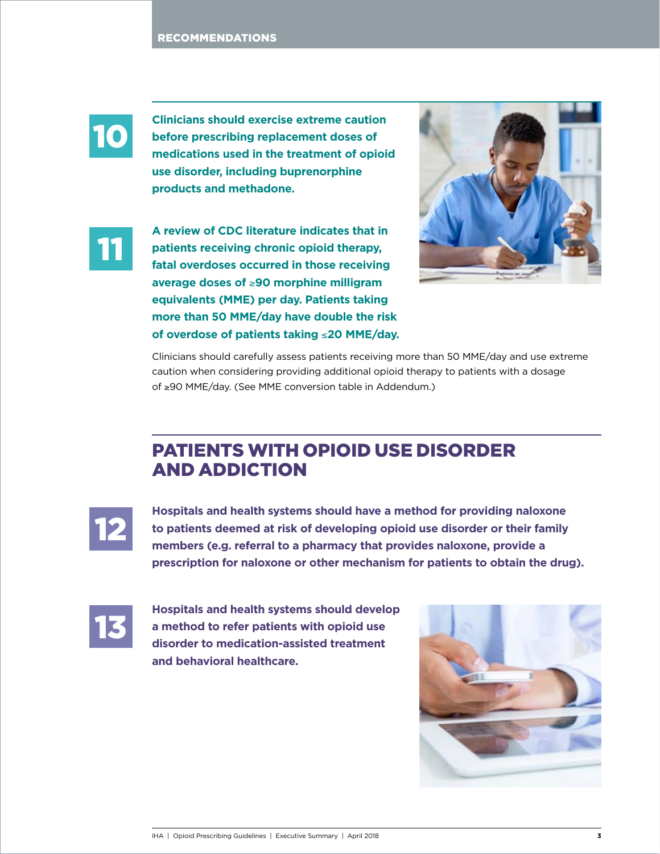

**Clinicians should exercise extreme caution before prescribing replacement doses of medications used in the treatment of opioid use disorder, including buprenorphine products and methadone.** 



**A review of CDC literature indicates that in patients receiving chronic opioid therapy, fatal overdoses occurred in those receiving average doses of** ≥**90 morphine milligram equivalents (MME) per day. Patients taking more than 50 MME/day have double the risk of overdose of patients taking** ≤**20 MME/day.** 



Clinicians should carefully assess patients receiving more than 50 MME/day and use extreme caution when considering providing additional opioid therapy to patients with a dosage of ≥90 MME/day. (See MME conversion table in Addendum.)

## Patients with Opioid Use Disorder and Addiction



**Hospitals and health systems should have a method for providing naloxone to patients deemed at risk of developing opioid use disorder or their family members (e.g. referral to a pharmacy that provides naloxone, provide a prescription for naloxone or other mechanism for patients to obtain the drug).**



**Hospitals and health systems should develop a method to refer patients with opioid use disorder to medication-assisted treatment and behavioral healthcare.**

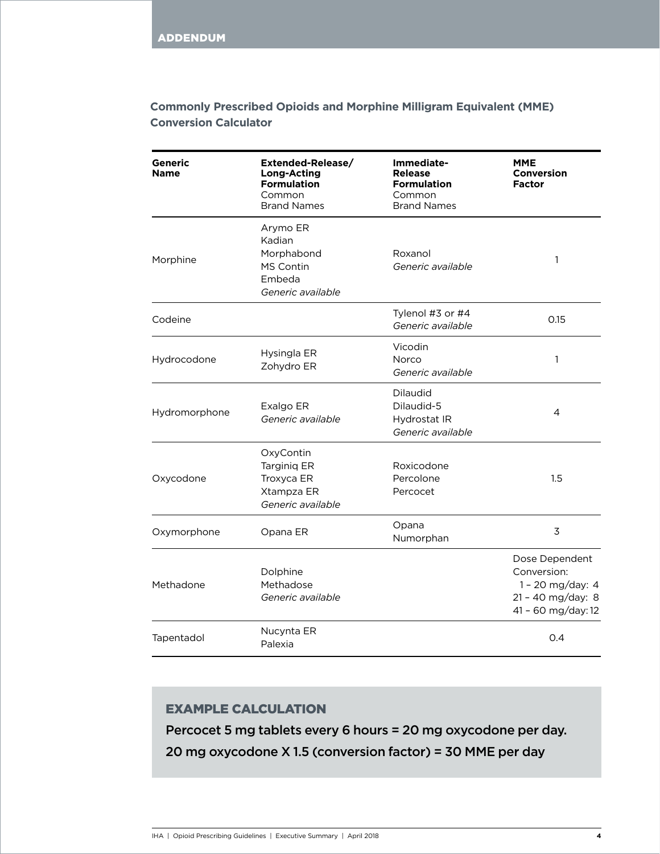## **Commonly Prescribed Opioids and Morphine Milligram Equivalent (MME) Conversion Calculator**

| Generic<br><b>Name</b> | Extended-Release/<br><b>Long-Acting</b><br><b>Formulation</b><br>Common<br><b>Brand Names</b> | Immediate-<br><b>Release</b><br><b>Formulation</b><br>Common<br><b>Brand Names</b> | MME<br><b>Conversion</b><br><b>Factor</b>                                                    |
|------------------------|-----------------------------------------------------------------------------------------------|------------------------------------------------------------------------------------|----------------------------------------------------------------------------------------------|
| Morphine               | Arymo ER<br>Kadian<br>Morphabond<br>MS Contin<br>Embeda<br>Generic available                  | Roxanol<br>Generic available                                                       | 1                                                                                            |
| Codeine                |                                                                                               | Tylenol #3 or #4<br>Generic available                                              | 0.15                                                                                         |
| Hydrocodone            | Hysingla ER<br>Zohydro ER                                                                     | Vicodin<br>Norco<br>Generic available                                              | 1                                                                                            |
| Hydromorphone          | Exalgo ER<br>Generic available                                                                | Dilaudid<br>Dilaudid-5<br>Hydrostat IR<br>Generic available                        | 4                                                                                            |
| Oxycodone              | OxyContin<br><b>Targinig ER</b><br>Troxyca ER<br>Xtampza ER<br>Generic available              | Roxicodone<br>Percolone<br>Percocet                                                | 1.5                                                                                          |
| Oxymorphone            | Opana ER                                                                                      | Opana<br>Numorphan                                                                 | 3                                                                                            |
| Methadone              | Dolphine<br>Methadose<br>Generic available                                                    |                                                                                    | Dose Dependent<br>Conversion:<br>1 - 20 mg/day: 4<br>21 - 40 mg/day: 8<br>41 - 60 mg/day: 12 |
| Tapentadol             | Nucynta ER<br>Palexia                                                                         |                                                                                    | 0.4                                                                                          |

### Example Calculation

Percocet 5 mg tablets every 6 hours = 20 mg oxycodone per day. 20 mg oxycodone X 1.5 (conversion factor) = 30 MME per day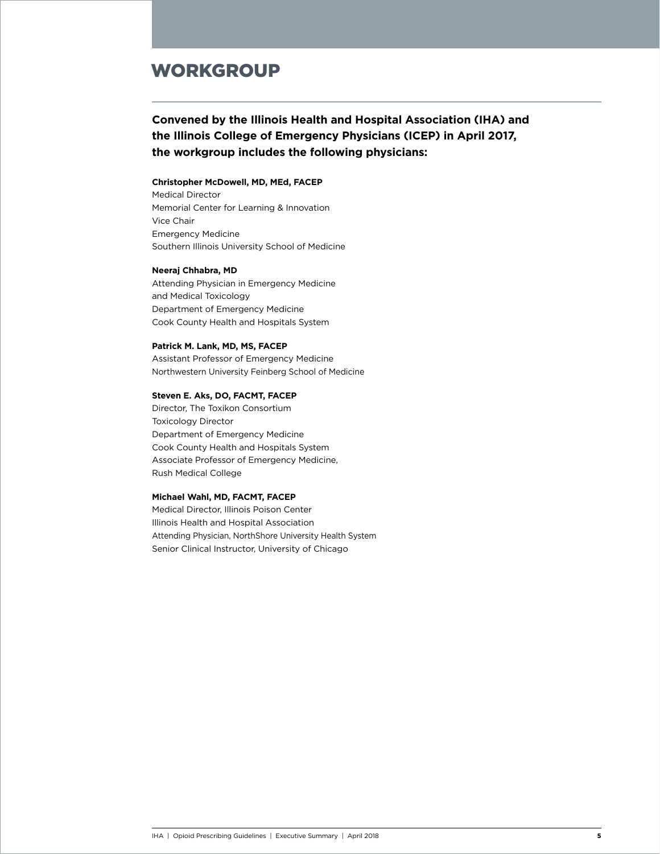## **WORKGROUP**

## **Convened by the Illinois Health and Hospital Association (IHA) and the Illinois College of Emergency Physicians (ICEP) in April 2017, the workgroup includes the following physicians:**

#### **Christopher McDowell, MD, MEd, FACEP**

Medical Director Memorial Center for Learning & Innovation Vice Chair Emergency Medicine Southern Illinois University School of Medicine

#### **Neeraj Chhabra, MD**

Attending Physician in Emergency Medicine and Medical Toxicology Department of Emergency Medicine Cook County Health and Hospitals System

#### **Patrick M. Lank, MD, MS, FACEP**

Assistant Professor of Emergency Medicine Northwestern University Feinberg School of Medicine

#### **Steven E. Aks, DO, FACMT, FACEP**

Director, The Toxikon Consortium Toxicology Director Department of Emergency Medicine Cook County Health and Hospitals System Associate Professor of Emergency Medicine, Rush Medical College

#### **Michael Wahl, MD, FACMT, FACEP**

Medical Director, Illinois Poison Center Illinois Health and Hospital Association Attending Physician, NorthShore University Health System Senior Clinical Instructor, University of Chicago